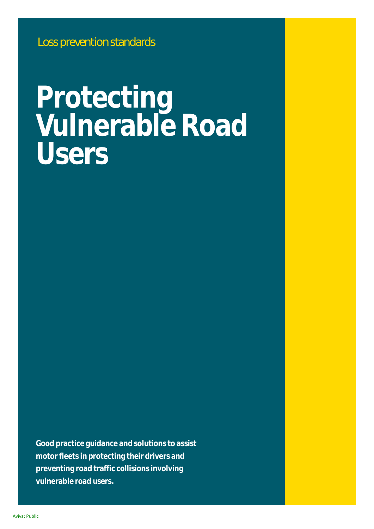# **Protecting Vulnerable Road Users**

**Good practice guidance and solutions to assist motor fleets in protecting their drivers and preventing road traffic collisions involving vulnerable road users.**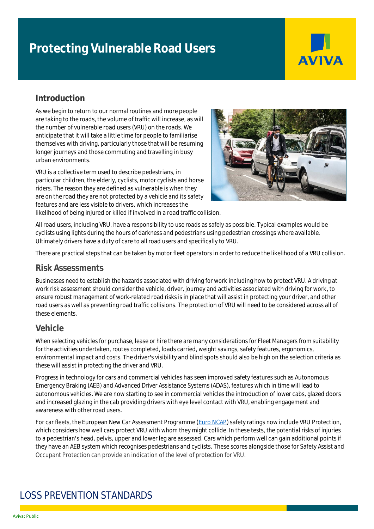# **Protecting Vulnerable Road Users**



## **Introduction**

As we begin to return to our normal routines and more people are taking to the roads, the volume of traffic will increase, as will the number of vulnerable road users (VRU) on the roads. We anticipate that it will take a little time for people to familiarise themselves with driving, particularly those that will be resuming longer journeys and those commuting and travelling in busy urban environments.

VRU is a collective term used to describe pedestrians, in particular children, the elderly, cyclists, motor cyclists and horse riders. The reason they are defined as vulnerable is when they are on the road they are not protected by a vehicle and its safety features and are less visible to drivers, which increases the likelihood of being injured or killed if involved in a road traffic collision.



All road users, including VRU, have a responsibility to use roads as safely as possible. Typical examples would be cyclists using lights during the hours of darkness and pedestrians using pedestrian crossings where available. Ultimately drivers have a duty of care to all road users and specifically to VRU.

There are practical steps that can be taken by motor fleet operators in order to reduce the likelihood of a VRU collision.

#### **Risk Assessments**

Businesses need to establish the hazards associated with driving for work including how to protect VRU. A driving at work risk assessment should consider the vehicle, driver, journey and activities associated with driving for work, to ensure robust management of work-related road risks is in place that will assist in protecting your driver, and other road users as well as preventing road traffic collisions. The protection of VRU will need to be considered across all of these elements.

#### **Vehicle**

When selecting vehicles for purchase, lease or hire there are many considerations for Fleet Managers from suitability for the activities undertaken, routes completed, loads carried, weight savings, safety features, ergonomics, environmental impact and costs. The driver's visibility and blind spots should also be high on the selection criteria as these will assist in protecting the driver and VRU.

Progress in technology for cars and commercial vehicles has seen improved safety features such as Autonomous Emergency Braking (AEB) and Advanced Driver Assistance Systems (ADAS), features which in time will lead to autonomous vehicles. We are now starting to see in commercial vehicles the introduction of lower cabs, glazed doors and increased glazing in the cab providing drivers with eye level contact with VRU, enabling engagement and awareness with other road users.

For car fleets, the European New Car Assessment Programme [\(Euro NCAP\)](https://www.euroncap.com/en) safety ratings now include VRU Protection, which considers how well cars protect VRU with whom they might collide. In these tests, the potential risks of injuries to a pedestrian's head, pelvis, upper and lower leg are assessed. Cars which perform well can gain additional points if they have an AEB system which recognises pedestrians and cyclists. These scores alongside those for Safety Assist and Occupant Protection can provide an indication of the level of protection for VRU.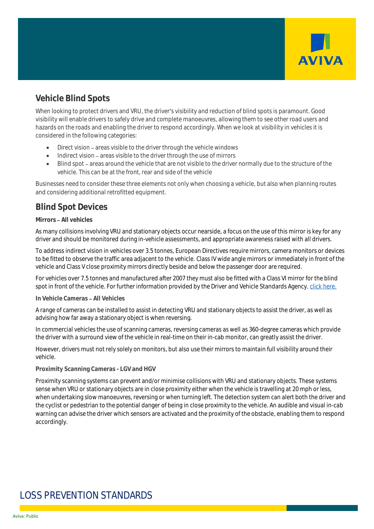

## **Vehicle Blind Spots**

When looking to protect drivers and VRU, the driver's visibility and reduction of blind spots is paramount. Good visibility will enable drivers to safely drive and complete manoeuvres, allowing them to see other road users and hazards on the roads and enabling the driver to respond accordingly. When we look at visibility in vehicles it is considered in the following categories:

- $\bullet$  Direct vision areas visible to the driver through the vehicle windows
- Indirect vision areas visible to the driver through the use of mirrors
- Blind spot areas around the vehicle that are not visible to the driver normally due to the structure of the vehicle. This can be at the front, rear and side of the vehicle

Businesses need to consider these three elements not only when choosing a vehicle, but also when planning routes and considering additional retrofitted equipment.

## **Blind Spot Devices**

#### **Mirrors All vehicles**

As many collisions involving VRU and stationary objects occur nearside, a focus on the use of this mirror is key for any driver and should be monitored during in-vehicle assessments, and appropriate awareness raised with all drivers.

To address indirect vision in vehicles over 3.5 tonnes, European Directives require mirrors, camera monitors or devices to be fitted to observe the traffic area adjacent to the vehicle. Class IV wide angle mirrors or immediately in front of the vehicle and Class V close proximity mirrors directly beside and below the passenger door are required.

For vehicles over 7.5 tonnes and manufactured after 2007 they must also be fitted with a Class VI mirror for the blind spot in front of the vehicle. For further information provided by the Driver and Vehicle Standards Agency[, click here.](https://assets.publishing.service.gov.uk/government/uploads/system/uploads/attachment_data/file/980128/hgv-inspection-manual.pdf)

#### **In Vehicle Cameras All Vehicles**

A range of cameras can be installed to assist in detecting VRU and stationary objects to assist the driver, as well as advising how far away a stationary object is when reversing.

In commercial vehicles the use of scanning cameras, reversing cameras as well as 360-degree cameras which provide the driver with a surround view of the vehicle in real-time on their in-cab monitor, can greatly assist the driver.

However, drivers must not rely solely on monitors, but also use their mirrors to maintain full visibility around their vehicle.

#### **Proximity Scanning Cameras - LGV and HGV**

Proximity scanning systems can prevent and/or minimise collisions with VRU and stationary objects. These systems sense when VRU or stationary objects are in close proximity either when the vehicle is travelling at 20 mph or less, when undertaking slow manoeuvres, reversing or when turning left. The detection system can alert both the driver and the cyclist or pedestrian to the potential danger of being in close proximity to the vehicle. An audible and visual in-cab warning can advise the driver which sensors are activated and the proximity of the obstacle, enabling them to respond accordingly.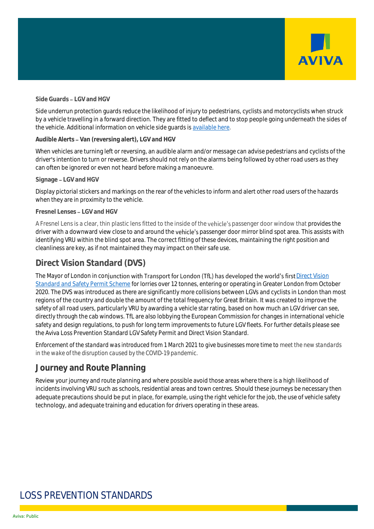

#### **Side Guards LGV and HGV**

Side underrun protection guards reduce the likelihood of injury to pedestrians, cyclists and motorcyclists when struck by a vehicle travelling in a forward direction. They are fitted to deflect and to stop people going underneath the sides of the vehicle. Additional information on vehicle side guards i[s available here.](https://www.gov.uk/government/publications/side-guards-lateral-protection-device-guidance)

#### **Audible Alerts Van (reversing alert), LGV and HGV**

When vehicles are turning left or reversing, an audible alarm and/or message can advise pedestrians and cyclists of the driver's intention to turn or reverse. Drivers should not rely on the alarms being followed by other road users as they can often be ignored or even not heard before making a manoeuvre.

#### **Signage LGV and HGV**

Display pictorial stickers and markings on the rear of the vehicles to inform and alert other road users of the hazards when they are in proximity to the vehicle.

#### **Fresnel Lenses LGV and HGV**

A Fresnel Lens is a clear, thin plastic lens fitted to the inside of the vehicle's passenger door window that provides the driver with a downward view close to and around the vehicle's passenger door mirror blind spot area. This assists with identifying VRU within the blind spot area. The correct fitting of these devices, maintaining the right position and cleanliness are key, as if not maintained they may impact on their safe use.

#### **Direct Vision Standard (DVS)**

The Mayor of London in conjunction with Transport for London (TfL) has developed the world's first Direct Vision [Standard and Safety Permit Scheme](https://tfl.gov.uk/info-for/deliveries-in-london/delivering-safely/direct-vision-in-heavy-goods-vehicles) for lorries over 12 tonnes, entering or operating in Greater London from October 2020. The DVS was introduced as there are significantly more collisions between LGVs and cyclists in London than most regions of the country and double the amount of the total frequency for Great Britain. It was created to improve the safety of all road users, particularly VRU by awarding a vehicle star rating, based on how much an LGV driver can see, directly through the cab windows. TfL are also lobbying the European Commission for changes in international vehicle safety and design regulations, to push for long term improvements to future LGV fleets. For further details please see the Aviva Loss Prevention Standard LGV Safety Permit and Direct Vision Standard.

*Enforcement of the standard was introduced from 1 March 2021 to give businesses more time to meet the new standards in the wake of the disruption caused by the COVID-19 pandemic.*

#### **Journey and Route Planning**

Review your journey and route planning and where possible avoid those areas where there is a high likelihood of incidents involving VRU such as schools, residential areas and town centres. Should these journeys be necessary then adequate precautions should be put in place, for example, using the right vehicle for the job, the use of vehicle safety technology, and adequate training and education for drivers operating in these areas.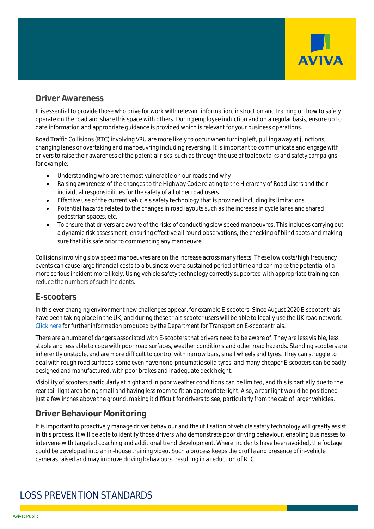

#### **Driver Awareness**

It is essential to provide those who drive for work with relevant information, instruction and training on how to safely operate on the road and share this space with others. During employee induction and on a regular basis, ensure up to date information and appropriate guidance is provided which is relevant for your business operations.

Road Traffic Collisions (RTC) involving VRU are more likely to occur when turning left, pulling away at junctions, changing lanes or overtaking and manoeuvring including reversing. It is important to communicate and engage with drivers to raise their awareness of the potential risks, such as through the use of toolbox talks and safety campaigns, for example:

- Understanding who are the most vulnerable on our roads and why
- Raising awareness of the changes to the Highway Code relating to the Hierarchy of Road Users and their individual responsibilities for the safety of all other road users
- Effective use of the current vehicle's safety technology that is provided including its limitations
- Potential hazards related to the changes in road layouts such as the increase in cycle lanes and shared pedestrian spaces, etc.
- To ensure that drivers are aware of the risks of conducting slow speed manoeuvres. This includes carrying out a dynamic risk assessment, ensuring effective all round observations, the checking of blind spots and making sure that it is safe prior to commencing any manoeuvre

Collisions involving slow speed manoeuvres are on the increase across many fleets. These low costs/high frequency events can cause large financial costs to a business over a sustained period of time and can make the potential of a more serious incident more likely. Using vehicle safety technology correctly supported with appropriate training can reduce the numbers of such incidents.

## **E-scooters**

In this ever changing environment new challenges appear, for example E-scooters. Since August 2020 E-scooter trials have been taking place in the UK, and during these trials scooter users will be able to legally use the UK road network. [Click here](https://www.gov.uk/government/publications/e-scooter-trials-guidance-for-local-areas-and-rental-operators/e-scooter-trials-guidance-for-local-areas-and-rental-operators) for further information produced by the Department for Transport on E-scooter trials.

There are a number of dangers associated with E-scooters that drivers need to be aware of. They are less visible, less stable and less able to cope with poor road surfaces, weather conditions and other road hazards. Standing scooters are inherently unstable, and are more difficult to control with narrow bars, small wheels and tyres. They can struggle to deal with rough road surfaces, some even have none-pneumatic solid tyres, and many cheaper E-scooters can be badly designed and manufactured, with poor brakes and inadequate deck height.

Visibility of scooters particularly at night and in poor weather conditions can be limited, and this is partially due to the rear tail-light area being small and having less room to fit an appropriate light. Also, a rear light would be positioned just a few inches above the ground, making it difficult for drivers to see, particularly from the cab of larger vehicles.

## **Driver Behaviour Monitoring**

It is important to proactively manage driver behaviour and the utilisation of vehicle safety technology will greatly assist in this process. It will be able to identify those drivers who demonstrate poor driving behaviour, enabling businesses to intervene with targeted coaching and additional trend development. Where incidents have been avoided, the footage could be developed into an in-house training video. Such a process keeps the profile and presence of in-vehicle cameras raised and may improve driving behaviours, resulting in a reduction of RTC.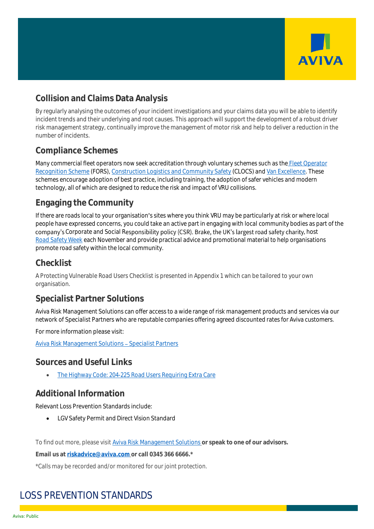

## **Collision and Claims Data Analysis**

By regularly analysing the outcomes of your incident investigations and your claims data you will be able to identify incident trends and their underlying and root causes. This approach will support the development of a robust driver risk management strategy, continually improve the management of motor risk and help to deliver a reduction in the number of incidents.

## **Compliance Schemes**

Many commercial fleet operators now seek accreditation through voluntary schemes such as the Fleet [Operator](https://www.fors-online.org.uk/cms/)  [Recognition Scheme](https://www.fors-online.org.uk/cms/) (FORS), [Construction Logistics and Community Safety](https://www.clocs.org.uk/) (CLOCS) an[d Van Excellence.](http://www.vanexcellence.co.uk/) These schemes encourage adoption of best practice, including training, the adoption of safer vehicles and modern technology, all of which are designed to reduce the risk and impact of VRU collisions.

## **Engaging the Community**

If there are roads local to your organisation's sites where you think VRU may be particularly at risk or where local people have expressed concerns, you could take an active part in engaging with local community bodies as part of the company's Corporate and Social Responsibility policy (CSR). Brake, the UK's largest road safety charity, host [Road Safety Week](http://www.roadsafetyweek.org.uk/) each November and provide practical advice and promotional material to help organisations promote road safety within the local community.

#### **Checklist**

A Protecting Vulnerable Road Users Checklist is presented in Appendix 1 which can be tailored to your own organisation.

## **Specialist Partner Solutions**

Aviva Risk Management Solutions can offer access to a wide range of risk management products and services via our network of Specialist Partners who are reputable companies offering agreed discounted rates for Aviva customers.

For more information please visit:

Aviva Risk Management Solutions - Specialist Partners

#### **Sources and Useful Links**

• The Highway Code: [204-225 Road Users Requiring Extra Care](https://www.highwaycodeuk.co.uk/road-users-requiring-extra-care.html)

## **Additional Information**

Relevant Loss Prevention Standards include:

• LGV Safety Permit and Direct Vision Standard

To find out more, please visit [Aviva Risk Management Solutions](https://www.aviva.co.uk/risksolutions/) **or speak to one of our advisors.**

**Email us at [riskadvice@aviva.com](mailto:riskadvice@aviva.com) or call 0345 366 6666.\***

\*Calls may be recorded and/or monitored for our joint protection.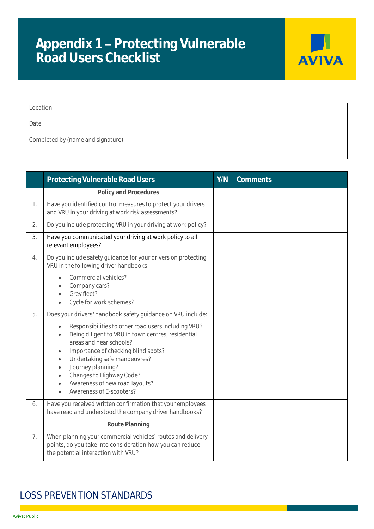# Appendix 1 - Protecting Vulnerable **Road Users Checklist**



| Location                          |  |
|-----------------------------------|--|
| Date                              |  |
| Completed by (name and signature) |  |

|    | Protecting Vulnerable Road Users                                                                                                                                                                                                                                                                                                                                               | Y/N | Comments |
|----|--------------------------------------------------------------------------------------------------------------------------------------------------------------------------------------------------------------------------------------------------------------------------------------------------------------------------------------------------------------------------------|-----|----------|
|    | Policy and Procedures                                                                                                                                                                                                                                                                                                                                                          |     |          |
| 1. | Have you identified control measures to protect your drivers<br>and VRU in your driving at work risk assessments?                                                                                                                                                                                                                                                              |     |          |
| 2. | Do you include protecting VRU in your driving at work policy?                                                                                                                                                                                                                                                                                                                  |     |          |
| 3. | Have you communicated your driving at work policy to all<br>relevant employees?                                                                                                                                                                                                                                                                                                |     |          |
| 4. | Do you include safety guidance for your drivers on protecting<br>VRU in the following driver handbooks:<br>Commercial vehicles?                                                                                                                                                                                                                                                |     |          |
|    | Company cars?<br>Grey fleet?<br>$\bullet$<br>Cycle for work schemes?<br>$\bullet$                                                                                                                                                                                                                                                                                              |     |          |
| 5. | Does your drivers' handbook safety guidance on VRU include:                                                                                                                                                                                                                                                                                                                    |     |          |
|    | Responsibilities to other road users including VRU?<br>Being diligent to VRU in town centres, residential<br>$\bullet$<br>areas and near schools?<br>Importance of checking blind spots?<br>$\bullet$<br>Undertaking safe manoeuvres?<br>$\bullet$<br>Journey planning?<br>$\bullet$<br>Changes to Highway Code?<br>Awareness of new road layouts?<br>Awareness of E-scooters? |     |          |
| 6. | Have you received written confirmation that your employees<br>have read and understood the company driver handbooks?                                                                                                                                                                                                                                                           |     |          |
|    | Route Planning                                                                                                                                                                                                                                                                                                                                                                 |     |          |
| 7. | When planning your commercial vehicles' routes and delivery<br>points, do you take into consideration how you can reduce<br>the potential interaction with VRU?                                                                                                                                                                                                                |     |          |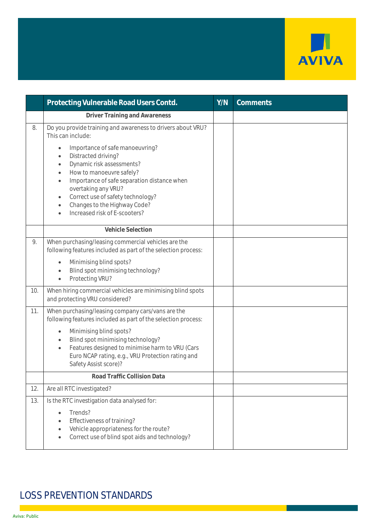

|     | Protecting Vulnerable Road Users Contd.                                                                                                                                                                                                                                                                                                                                                | Y/N | Comments |
|-----|----------------------------------------------------------------------------------------------------------------------------------------------------------------------------------------------------------------------------------------------------------------------------------------------------------------------------------------------------------------------------------------|-----|----------|
|     | Driver Training and Awareness                                                                                                                                                                                                                                                                                                                                                          |     |          |
| 8.  | Do you provide training and awareness to drivers about VRU?<br>This can include:                                                                                                                                                                                                                                                                                                       |     |          |
|     | Importance of safe manoeuvring?<br>$\bullet$<br>Distracted driving?<br>$\bullet$<br>Dynamic risk assessments?<br>$\bullet$<br>How to manoeuvre safely?<br>$\bullet$<br>Importance of safe separation distance when<br>$\bullet$<br>overtaking any VRU?<br>Correct use of safety technology?<br>$\bullet$<br>Changes to the Highway Code?<br>$\bullet$<br>Increased risk of E-scooters? |     |          |
|     | Vehicle Selection                                                                                                                                                                                                                                                                                                                                                                      |     |          |
| 9.  | When purchasing/leasing commercial vehicles are the<br>following features included as part of the selection process:<br>Minimising blind spots?<br>$\bullet$<br>Blind spot minimising technology?<br>$\bullet$<br>Protecting VRU?<br>$\bullet$                                                                                                                                         |     |          |
| 10. | When hiring commercial vehicles are minimising blind spots<br>and protecting VRU considered?                                                                                                                                                                                                                                                                                           |     |          |
| 11. | When purchasing/leasing company cars/vans are the<br>following features included as part of the selection process:<br>Minimising blind spots?<br>$\bullet$<br>Blind spot minimising technology?<br>$\bullet$<br>Features designed to minimise harm to VRU (Cars<br>$\bullet$<br>Euro NCAP rating, e.g., VRU Protection rating and<br>Safety Assist score)?                             |     |          |
|     | Road Traffic Collision Data                                                                                                                                                                                                                                                                                                                                                            |     |          |
| 12. | Are all RTC investigated?                                                                                                                                                                                                                                                                                                                                                              |     |          |
| 13. | Is the RTC investigation data analysed for:<br>Trends?<br>Effectiveness of training?<br>Vehicle appropriateness for the route?<br>$\bullet$<br>Correct use of blind spot aids and technology?                                                                                                                                                                                          |     |          |